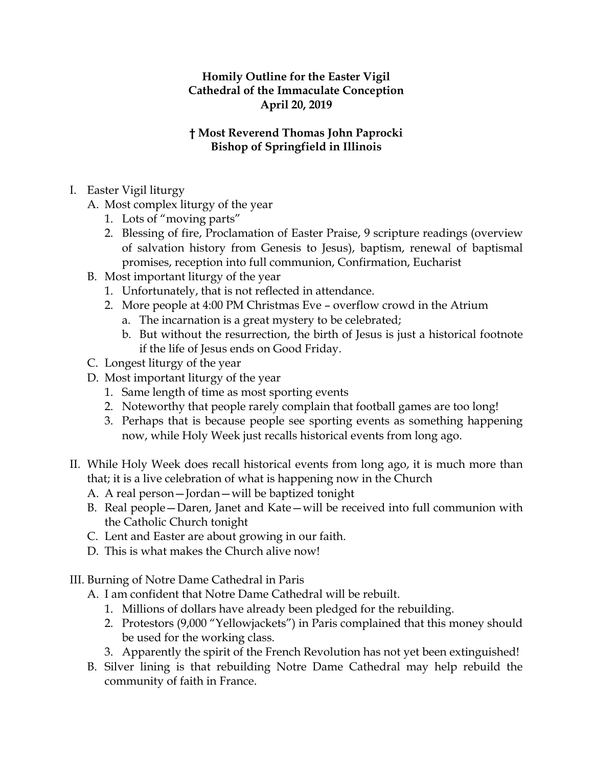## **Homily Outline for the Easter Vigil Cathedral of the Immaculate Conception April 20, 2019**

## **† Most Reverend Thomas John Paprocki Bishop of Springfield in Illinois**

- I. Easter Vigil liturgy
	- A. Most complex liturgy of the year
		- 1. Lots of "moving parts"
		- 2. Blessing of fire, Proclamation of Easter Praise, 9 scripture readings (overview of salvation history from Genesis to Jesus), baptism, renewal of baptismal promises, reception into full communion, Confirmation, Eucharist
	- B. Most important liturgy of the year
		- 1. Unfortunately, that is not reflected in attendance.
		- 2. More people at 4:00 PM Christmas Eve overflow crowd in the Atrium
			- a. The incarnation is a great mystery to be celebrated;
			- b. But without the resurrection, the birth of Jesus is just a historical footnote if the life of Jesus ends on Good Friday.
	- C. Longest liturgy of the year
	- D. Most important liturgy of the year
		- 1. Same length of time as most sporting events
		- 2. Noteworthy that people rarely complain that football games are too long!
		- 3. Perhaps that is because people see sporting events as something happening now, while Holy Week just recalls historical events from long ago.
- II. While Holy Week does recall historical events from long ago, it is much more than that; it is a live celebration of what is happening now in the Church
	- A. A real person—Jordan—will be baptized tonight
	- B. Real people—Daren, Janet and Kate—will be received into full communion with the Catholic Church tonight
	- C. Lent and Easter are about growing in our faith.
	- D. This is what makes the Church alive now!
- III. Burning of Notre Dame Cathedral in Paris
	- A. I am confident that Notre Dame Cathedral will be rebuilt.
		- 1. Millions of dollars have already been pledged for the rebuilding.
		- 2. Protestors (9,000 "Yellowjackets") in Paris complained that this money should be used for the working class.
		- 3. Apparently the spirit of the French Revolution has not yet been extinguished!
	- B. Silver lining is that rebuilding Notre Dame Cathedral may help rebuild the community of faith in France.